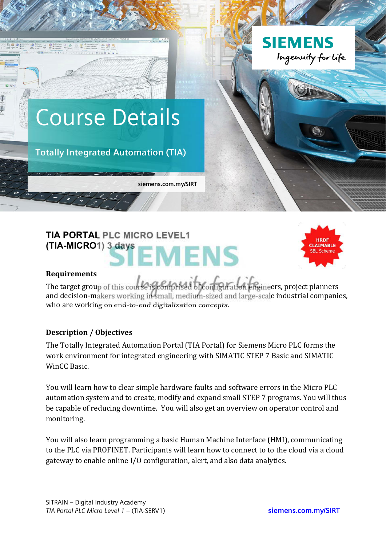

# **TIA PORTAL PLC MICRO LEVEL1 (TIA-MICRO1) 3 days EMENS**



#### **Requirements**

The target group of this course is comprised of configuration engineers, project planners and decision-makers working in small, medium-sized and large-scale industrial companies, who are working on end-to-end digitalization concepts.

# **Description / Objectives**

The Totally Integrated Automation Portal (TIA Portal) for Siemens Micro PLC forms the work environment for integrated engineering with SIMATIC STEP 7 Basic and SIMATIC WinCC Basic.

You will learn how to clear simple hardware faults and software errors in the Micro PLC automation system and to create, modify and expand small STEP 7 programs. You will thus be capable of reducing downtime. You will also get an overview on operator control and monitoring.

You will also learn programming a basic Human Machine Interface (HMI), communicating to the PLC via PROFINET. Participants will learn how to connect to to the cloud via a cloud gateway to enable online I/O configuration, alert, and also data analytics.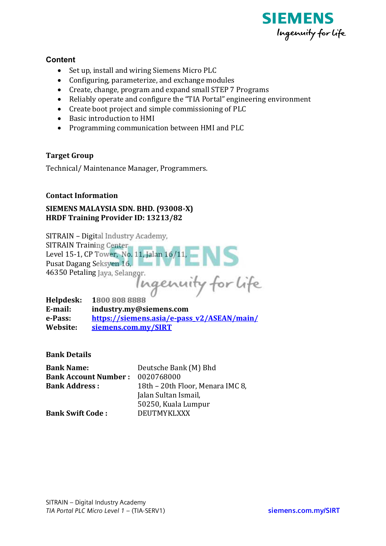

## **Content**

- Set up, install and wiring Siemens Micro PLC
- Configuring, parameterize, and exchange modules
- Create, change, program and expand small STEP 7 Programs
- Reliably operate and configure the "TIA Portal" engineering environment
- Create boot project and simple commissioning of PLC
- Basic introduction to HMI
- Programming communication between HMI and PLC

# **Target Group**

Technical/Maintenance Manager, Programmers.

### **Contact Information**

# SIEMENS MALAYSIA SDN. BHD. (93008-X) **HRDF Training Provider ID: 13213/82**

SITRAIN - Digital Industry Academy,

SITRAIN Training Center SITRAIN Training Center<br>Level 15-1, CP Tower, No. 11, Jalan 16/11, Pusat Dagang Seksven 16. 46350 Petaling Jaya, Selangor.

Ingenuity for life

| Helpdesk: | 1800 808 8888                              |
|-----------|--------------------------------------------|
| E-mail:   | industry.my@siemens.com                    |
| e-Pass:   | https://siemens.asia/e-pass v2/ASEAN/main/ |
| Website:  | siemens.com.my/SIRT                        |

**Bank Details** 

| <b>Bank Name:</b>           | Deutsche Bank (M) Bhd            |
|-----------------------------|----------------------------------|
| <b>Bank Account Number:</b> | 0020768000                       |
| <b>Bank Address:</b>        | 18th - 20th Floor, Menara IMC 8, |
|                             | Jalan Sultan Ismail,             |
|                             | 50250, Kuala Lumpur              |
| <b>Bank Swift Code:</b>     | <b>DEUTMYKLXXX</b>               |